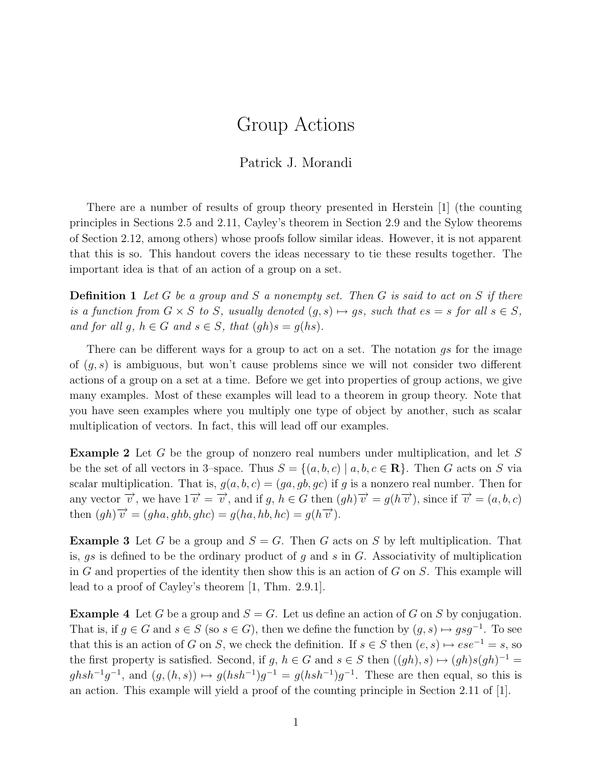## Group Actions

## Patrick J. Morandi

There are a number of results of group theory presented in Herstein [1] (the counting principles in Sections 2.5 and 2.11, Cayley's theorem in Section 2.9 and the Sylow theorems of Section 2.12, among others) whose proofs follow similar ideas. However, it is not apparent that this is so. This handout covers the ideas necessary to tie these results together. The important idea is that of an action of a group on a set.

**Definition 1** Let G be a group and S a nonempty set. Then G is said to act on S if there is a function from  $G \times S$  to S, usually denoted  $(g, s) \mapsto gs$ , such that  $es = s$  for all  $s \in S$ , and for all g,  $h \in G$  and  $s \in S$ , that  $(gh)s = g(hs)$ .

There can be different ways for a group to act on a set. The notation gs for the image of  $(g, s)$  is ambiguous, but won't cause problems since we will not consider two different actions of a group on a set at a time. Before we get into properties of group actions, we give many examples. Most of these examples will lead to a theorem in group theory. Note that you have seen examples where you multiply one type of object by another, such as scalar multiplication of vectors. In fact, this will lead off our examples.

Example 2 Let G be the group of nonzero real numbers under multiplication, and let S be the set of all vectors in 3–space. Thus  $S = \{(a, b, c) | a, b, c \in \mathbb{R}\}\)$ . Then G acts on S via scalar multiplication. That is,  $g(a, b, c) = (ga, gb, gc)$  if g is a nonzero real number. Then for any vector  $\overrightarrow{v}$ , we have  $1\overrightarrow{v} = \overrightarrow{v}$ , and if g,  $h \in G$  then  $(gh)\overrightarrow{v} = g(h\overrightarrow{v})$ , since if  $\overrightarrow{v} = (a, b, c)$ then  $(gh)\overrightarrow{v} = (gha, ghb, ghc) = g(ha, hb, hc) = g(h\overrightarrow{v}).$ 

**Example 3** Let G be a group and  $S = G$ . Then G acts on S by left multiplication. That is,  $gs$  is defined to be the ordinary product of g and s in G. Associativity of multiplication in G and properties of the identity then show this is an action of G on  $S$ . This example will lead to a proof of Cayley's theorem [1, Thm. 2.9.1].

**Example 4** Let G be a group and  $S = G$ . Let us define an action of G on S by conjugation. That is, if  $g \in G$  and  $s \in S$  (so  $s \in G$ ), then we define the function by  $(g, s) \mapsto gsg^{-1}$ . To see that this is an action of G on S, we check the definition. If  $s \in S$  then  $(e, s) \mapsto ese^{-1} = s$ , so the first property is satisfied. Second, if g,  $h \in G$  and  $s \in S$  then  $((gh), s) \mapsto (gh)s(gh)^{-1} =$  $ghsh^{-1}g^{-1}$ , and  $(g,(h,s)) \mapsto g(hsh^{-1})g^{-1} = g(hsh^{-1})g^{-1}$ . These are then equal, so this is an action. This example will yield a proof of the counting principle in Section 2.11 of [1].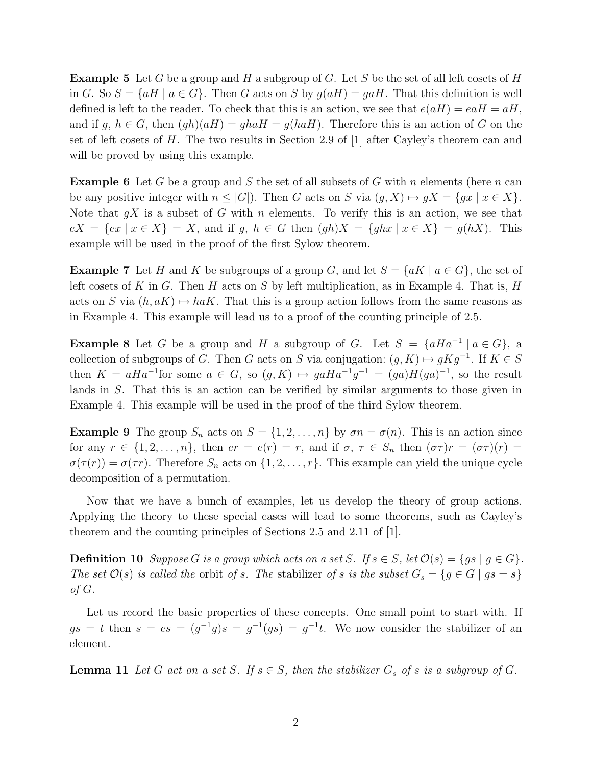**Example 5** Let G be a group and H a subgroup of G. Let S be the set of all left cosets of H in G. So  $S = \{aH \mid a \in G\}$ . Then G acts on S by  $g(aH) = gaH$ . That this definition is well defined is left to the reader. To check that this is an action, we see that  $e(aH) = eaH = aH$ , and if g,  $h \in G$ , then  $(gh)(aH) = ghaH = g(haH)$ . Therefore this is an action of G on the set of left cosets of H. The two results in Section 2.9 of  $[1]$  after Cayley's theorem can and will be proved by using this example.

**Example 6** Let G be a group and S the set of all subsets of G with n elements (here n can be any positive integer with  $n \leq |G|$ . Then G acts on S via  $(q, X) \mapsto qX = \{qx \mid x \in X\}$ . Note that  $gX$  is a subset of G with n elements. To verify this is an action, we see that  $eX = \{ex \mid x \in X\} = X$ , and if g,  $h \in G$  then  $(gh)X = \{ghx \mid x \in X\} = g(hX)$ . This example will be used in the proof of the first Sylow theorem.

**Example 7** Let H and K be subgroups of a group G, and let  $S = \{aK \mid a \in G\}$ , the set of left cosets of K in G. Then H acts on S by left multiplication, as in Example 4. That is, H acts on S via  $(h, aK) \mapsto haK$ . That this is a group action follows from the same reasons as in Example 4. This example will lead us to a proof of the counting principle of 2.5.

**Example 8** Let G be a group and H a subgroup of G. Let  $S = \{aHa^{-1} \mid a \in G\}$ , a collection of subgroups of G. Then G acts on S via conjugation:  $(g, K) \mapsto gKg^{-1}$ . If  $K \in S$ then  $K = aHa^{-1}$  for some  $a \in G$ , so  $(g, K) \mapsto gaHa^{-1}g^{-1} = (ga)H(ga)^{-1}$ , so the result lands in S. That this is an action can be verified by similar arguments to those given in Example 4. This example will be used in the proof of the third Sylow theorem.

**Example 9** The group  $S_n$  acts on  $S = \{1, 2, ..., n\}$  by  $\sigma n = \sigma(n)$ . This is an action since for any  $r \in \{1, 2, \ldots, n\}$ , then  $er = e(r) = r$ , and if  $\sigma, \tau \in S_n$  then  $(\sigma \tau)r = (\sigma \tau)(r) =$  $\sigma(\tau(r)) = \sigma(\tau r)$ . Therefore  $S_n$  acts on  $\{1, 2, \ldots, r\}$ . This example can yield the unique cycle decomposition of a permutation.

Now that we have a bunch of examples, let us develop the theory of group actions. Applying the theory to these special cases will lead to some theorems, such as Cayley's theorem and the counting principles of Sections 2.5 and 2.11 of [1].

**Definition 10** Suppose G is a group which acts on a set S. If  $s \in S$ , let  $\mathcal{O}(s) = \{gs \mid g \in G\}$ . The set  $\mathcal{O}(s)$  is called the orbit of s. The stabilizer of s is the subset  $G_s = \{g \in G \mid gs = s\}$ of  $G$ .

Let us record the basic properties of these concepts. One small point to start with. If  $gs = t$  then  $s = es = (g^{-1}g)s = g^{-1}(gs) = g^{-1}t$ . We now consider the stabilizer of an element.

**Lemma 11** Let G act on a set S. If  $s \in S$ , then the stabilizer  $G_s$  of s is a subgroup of G.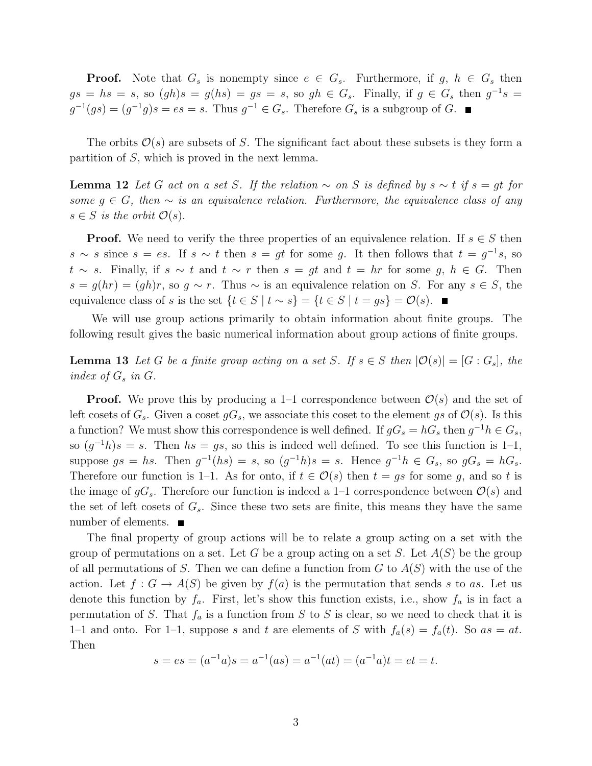**Proof.** Note that  $G_s$  is nonempty since  $e \in G_s$ . Furthermore, if  $g, h \in G_s$  then  $gs = hs = s$ , so  $(gh)s = g(hs) = gs = s$ , so  $gh \in G_s$ . Finally, if  $g \in G_s$  then  $g^{-1}s =$  $g^{-1}(gs) = (g^{-1}g)s = es = s$ . Thus  $g^{-1} \in G_s$ . Therefore  $G_s$  is a subgroup of G.

The orbits  $\mathcal{O}(s)$  are subsets of S. The significant fact about these subsets is they form a partition of S, which is proved in the next lemma.

**Lemma 12** Let G act on a set S. If the relation  $\sim$  on S is defined by  $s \sim t$  if  $s = gt$  for some  $q \in G$ , then  $\sim$  is an equivalence relation. Furthermore, the equivalence class of any  $s \in S$  is the orbit  $\mathcal{O}(s)$ .

**Proof.** We need to verify the three properties of an equivalence relation. If  $s \in S$  then  $s \sim s$  since  $s = es$ . If  $s \sim t$  then  $s = gt$  for some g. It then follows that  $t = g^{-1}s$ , so  $t \sim s$ . Finally, if  $s \sim t$  and  $t \sim r$  then  $s = gt$  and  $t = hr$  for some g,  $h \in G$ . Then  $s = g(hr) = (gh)r$ , so  $g \sim r$ . Thus  $\sim$  is an equivalence relation on S. For any  $s \in S$ , the equivalence class of s is the set  $\{t \in S \mid t \sim s\} = \{t \in S \mid t = gs\} = \mathcal{O}(s)$ . ■

We will use group actions primarily to obtain information about finite groups. The following result gives the basic numerical information about group actions of finite groups.

**Lemma 13** Let G be a finite group acting on a set S. If  $s \in S$  then  $|\mathcal{O}(s)| = [G : G_s]$ , the index of  $G_s$  in  $G$ .

**Proof.** We prove this by producing a 1–1 correspondence between  $\mathcal{O}(s)$  and the set of left cosets of  $G_s$ . Given a coset  $gG_s$ , we associate this coset to the element gs of  $\mathcal{O}(s)$ . Is this a function? We must show this correspondence is well defined. If  $gG_s = hG_s$  then  $g^{-1}h \in G_s$ , so  $(g^{-1}h)s = s$ . Then  $hs = gs$ , so this is indeed well defined. To see this function is 1-1, suppose  $gs = hs$ . Then  $g^{-1}(hs) = s$ , so  $(g^{-1}h)s = s$ . Hence  $g^{-1}h \in G_s$ , so  $gG_s = hG_s$ . Therefore our function is 1–1. As for onto, if  $t \in \mathcal{O}(s)$  then  $t = gs$  for some g, and so t is the image of  $gG_s$ . Therefore our function is indeed a 1–1 correspondence between  $\mathcal{O}(s)$  and the set of left cosets of  $G_s$ . Since these two sets are finite, this means they have the same number of elements. ■

The final property of group actions will be to relate a group acting on a set with the group of permutations on a set. Let G be a group acting on a set S. Let  $A(S)$  be the group of all permutations of S. Then we can define a function from  $G$  to  $A(S)$  with the use of the action. Let  $f: G \to A(S)$  be given by  $f(a)$  is the permutation that sends s to as. Let us denote this function by  $f_a$ . First, let's show this function exists, i.e., show  $f_a$  is in fact a permutation of S. That  $f_a$  is a function from S to S is clear, so we need to check that it is 1–1 and onto. For 1–1, suppose s and t are elements of S with  $f_a(s) = f_a(t)$ . So  $as = at$ . Then

$$
s = es = (a^{-1}a)s = a^{-1}(as) = a^{-1}(at) = (a^{-1}a)t = et = t.
$$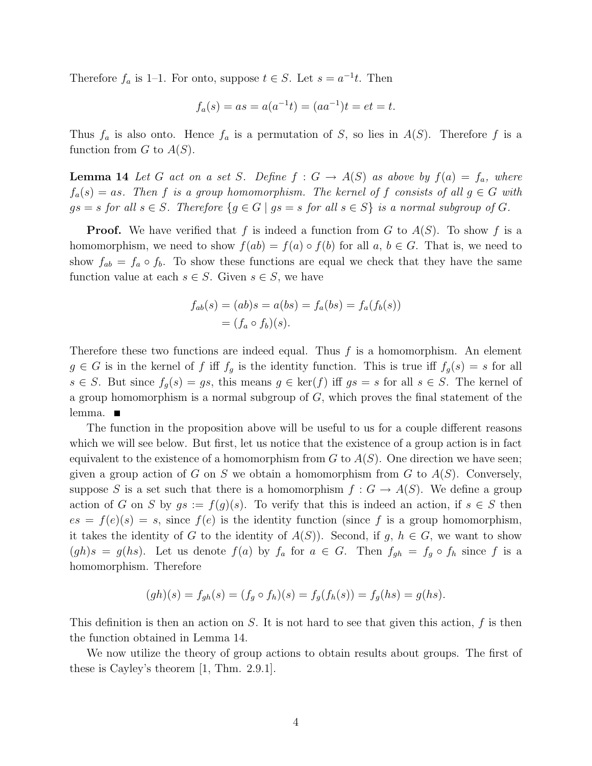Therefore  $f_a$  is 1–1. For onto, suppose  $t \in S$ . Let  $s = a^{-1}t$ . Then

$$
f_a(s) = as = a(a^{-1}t) = (aa^{-1})t = et = t.
$$

Thus  $f_a$  is also onto. Hence  $f_a$  is a permutation of S, so lies in  $A(S)$ . Therefore f is a function from  $G$  to  $A(S)$ .

**Lemma 14** Let G act on a set S. Define  $f : G \to A(S)$  as above by  $f(a) = f_a$ , where  $f_a(s) = as$ . Then f is a group homomorphism. The kernel of f consists of all  $g \in G$  with  $gs = s$  for all  $s \in S$ . Therefore  $\{g \in G \mid gs = s \text{ for all } s \in S\}$  is a normal subgroup of G.

**Proof.** We have verified that f is indeed a function from G to  $A(S)$ . To show f is a homomorphism, we need to show  $f(ab) = f(a) \circ f(b)$  for all  $a, b \in G$ . That is, we need to show  $f_{ab} = f_a \circ f_b$ . To show these functions are equal we check that they have the same function value at each  $s \in S$ . Given  $s \in S$ , we have

$$
f_{ab}(s) = (ab)s = a(bs) = f_a(bs) = f_a(f_b(s))
$$
  
=  $(f_a \circ f_b)(s)$ .

Therefore these two functions are indeed equal. Thus  $f$  is a homomorphism. An element  $g \in G$  is in the kernel of f iff  $f_g$  is the identity function. This is true iff  $f_g(s) = s$  for all  $s \in S$ . But since  $f_q(s) = gs$ , this means  $g \in \text{ker}(f)$  iff  $gs = s$  for all  $s \in S$ . The kernel of a group homomorphism is a normal subgroup of  $G$ , which proves the final statement of the lemma.

The function in the proposition above will be useful to us for a couple different reasons which we will see below. But first, let us notice that the existence of a group action is in fact equivalent to the existence of a homomorphism from  $G$  to  $A(S)$ . One direction we have seen; given a group action of G on S we obtain a homomorphism from G to  $A(S)$ . Conversely, suppose S is a set such that there is a homomorphism  $f: G \to A(S)$ . We define a group action of G on S by  $gs := f(g)(s)$ . To verify that this is indeed an action, if  $s \in S$  then  $es = f(e)(s) = s$ , since  $f(e)$  is the identity function (since f is a group homomorphism, it takes the identity of G to the identity of  $A(S)$ ). Second, if g,  $h \in G$ , we want to show  $(gh)s = g(hs)$ . Let us denote  $f(a)$  by  $f_a$  for  $a \in G$ . Then  $f_{gh} = f_g \circ f_h$  since f is a homomorphism. Therefore

$$
(gh)(s) = f_{gh}(s) = (f_g \circ f_h)(s) = f_g(f_h(s)) = f_g(hs) = g(hs).
$$

This definition is then an action on  $S$ . It is not hard to see that given this action,  $f$  is then the function obtained in Lemma 14.

We now utilize the theory of group actions to obtain results about groups. The first of these is Cayley's theorem [1, Thm. 2.9.1].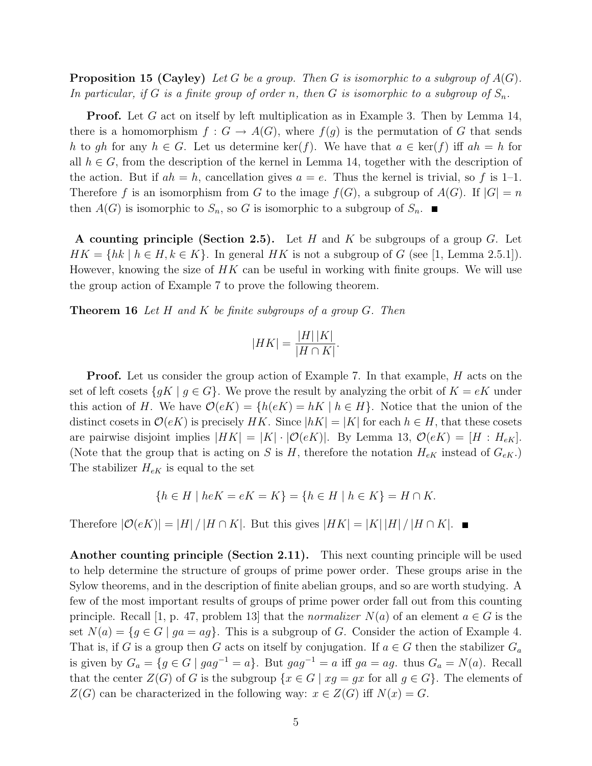**Proposition 15 (Cayley)** Let G be a group. Then G is isomorphic to a subgroup of  $A(G)$ . In particular, if G is a finite group of order n, then G is isomorphic to a subgroup of  $S_n$ .

**Proof.** Let G act on itself by left multiplication as in Example 3. Then by Lemma 14, there is a homomorphism  $f: G \to A(G)$ , where  $f(g)$  is the permutation of G that sends h to gh for any  $h \in G$ . Let us determine ker(f). We have that  $a \in \text{ker}(f)$  iff  $ah = h$  for all  $h \in G$ , from the description of the kernel in Lemma 14, together with the description of the action. But if  $ah = h$ , cancellation gives  $a = e$ . Thus the kernel is trivial, so f is 1–1. Therefore f is an isomorphism from G to the image  $f(G)$ , a subgroup of  $A(G)$ . If  $|G| = n$ then  $A(G)$  is isomorphic to  $S_n$ , so G is isomorphic to a subgroup of  $S_n$ .

A counting principle (Section 2.5). Let  $H$  and  $K$  be subgroups of a group  $G$ . Let  $HK = \{hk \mid h \in H, k \in K\}$ . In general HK is not a subgroup of G (see [1, Lemma 2.5.1]). However, knowing the size of  $HK$  can be useful in working with finite groups. We will use the group action of Example 7 to prove the following theorem.

**Theorem 16** Let  $H$  and  $K$  be finite subgroups of a group  $G$ . Then

$$
|HK| = \frac{|H||K|}{|H \cap K|}.
$$

**Proof.** Let us consider the group action of Example 7. In that example,  $H$  acts on the set of left cosets  $\{qK \mid q \in G\}$ . We prove the result by analyzing the orbit of  $K = eK$  under this action of H. We have  $\mathcal{O}(eK) = \{h(eK) = hK \mid h \in H\}$ . Notice that the union of the distinct cosets in  $\mathcal{O}(eK)$  is precisely HK. Since  $|hK| = |K|$  for each  $h \in H$ , that these cosets are pairwise disjoint implies  $|HK| = |K| \cdot |O(eK)|$ . By Lemma 13,  $O(eK) = |H : H_{eK}|$ . (Note that the group that is acting on S is H, therefore the notation  $H_{eK}$  instead of  $G_{eK}$ .) The stabilizer  $H_{eK}$  is equal to the set

$$
\{h \in H \mid heK = eK = K\} = \{h \in H \mid h \in K\} = H \cap K.
$$

Therefore  $|\mathcal{O}(eK)| = |H| / |H \cap K|$ . But this gives  $|HK| = |K| |H| / |H \cap K|$ .

Another counting principle (Section 2.11). This next counting principle will be used to help determine the structure of groups of prime power order. These groups arise in the Sylow theorems, and in the description of finite abelian groups, and so are worth studying. A few of the most important results of groups of prime power order fall out from this counting principle. Recall [1, p. 47, problem 13] that the *normalizer*  $N(a)$  of an element  $a \in G$  is the set  $N(a) = \{g \in G \mid ga = ag\}$ . This is a subgroup of G. Consider the action of Example 4. That is, if G is a group then G acts on itself by conjugation. If  $a \in G$  then the stabilizer  $G_a$ is given by  $G_a = \{g \in G \mid gag^{-1} = a\}$ . But  $gag^{-1} = a$  iff  $ga = ag$ . thus  $G_a = N(a)$ . Recall that the center  $Z(G)$  of G is the subgroup  $\{x \in G \mid xg = gx$  for all  $g \in G\}$ . The elements of  $Z(G)$  can be characterized in the following way:  $x \in Z(G)$  iff  $N(x) = G$ .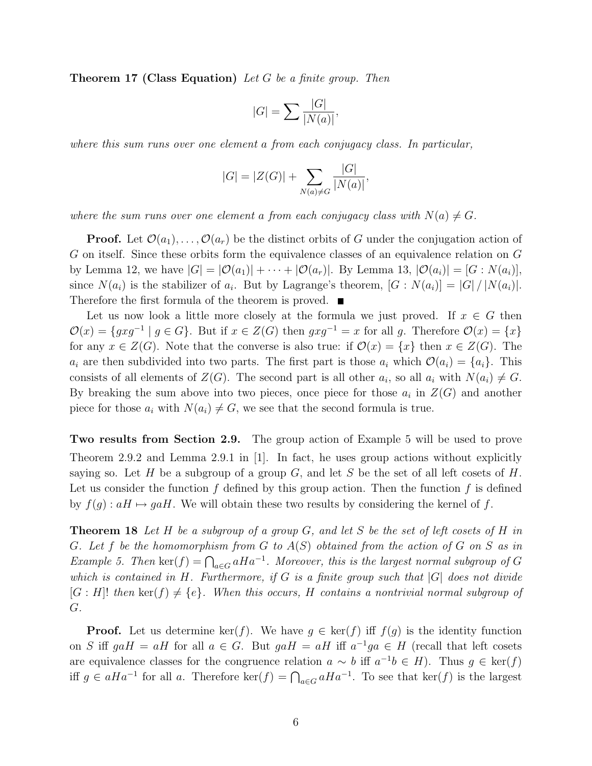**Theorem 17 (Class Equation)** Let G be a finite group. Then

$$
|G| = \sum \frac{|G|}{|N(a)|},
$$

where this sum runs over one element a from each conjugacy class. In particular,

$$
|G| = |Z(G)| + \sum_{N(a) \neq G} \frac{|G|}{|N(a)|},
$$

where the sum runs over one element a from each conjugacy class with  $N(a) \neq G$ .

**Proof.** Let  $\mathcal{O}(a_1), \ldots, \mathcal{O}(a_r)$  be the distinct orbits of G under the conjugation action of G on itself. Since these orbits form the equivalence classes of an equivalence relation on G by Lemma 12, we have  $|G| = |O(a_1)| + \cdots + |O(a_r)|$ . By Lemma 13,  $|O(a_i)| = [G : N(a_i)],$ since  $N(a_i)$  is the stabilizer of  $a_i$ . But by Lagrange's theorem,  $[G: N(a_i)] = |G| / |N(a_i)|$ . Therefore the first formula of the theorem is proved.  $\blacksquare$ 

Let us now look a little more closely at the formula we just proved. If  $x \in G$  then  $\mathcal{O}(x) = \{gxg^{-1} \mid g \in G\}$ . But if  $x \in Z(G)$  then  $gxg^{-1} = x$  for all g. Therefore  $\mathcal{O}(x) = \{x\}$ for any  $x \in Z(G)$ . Note that the converse is also true: if  $\mathcal{O}(x) = \{x\}$  then  $x \in Z(G)$ . The  $a_i$  are then subdivided into two parts. The first part is those  $a_i$  which  $\mathcal{O}(a_i) = \{a_i\}$ . This consists of all elements of  $Z(G)$ . The second part is all other  $a_i$ , so all  $a_i$  with  $N(a_i) \neq G$ . By breaking the sum above into two pieces, once piece for those  $a_i$  in  $Z(G)$  and another piece for those  $a_i$  with  $N(a_i) \neq G$ , we see that the second formula is true.

Two results from Section 2.9. The group action of Example 5 will be used to prove Theorem 2.9.2 and Lemma 2.9.1 in [1]. In fact, he uses group actions without explicitly saying so. Let H be a subgroup of a group G, and let S be the set of all left cosets of H. Let us consider the function  $f$  defined by this group action. Then the function  $f$  is defined by  $f(g) : aH \mapsto gaH$ . We will obtain these two results by considering the kernel of f.

**Theorem 18** Let H be a subgroup of a group G, and let S be the set of left cosets of H in G. Let f be the homomorphism from G to  $A(S)$  obtained from the action of G on S as in Example 5. Then  $\ker(f) = \bigcap_{a \in G} aHa^{-1}$ . Moreover, this is the largest normal subgroup of G which is contained in H. Furthermore, if G is a finite group such that  $|G|$  does not divide  $[G : H]$ ! then ker $(f) \neq \{e\}$ . When this occurs, H contains a nontrivial normal subgroup of G.

**Proof.** Let us determine ker(f). We have  $g \in \text{ker}(f)$  iff  $f(g)$  is the identity function on S iff  $gaH = aH$  for all  $a \in G$ . But  $gaH = aH$  iff  $a^{-1}ga \in H$  (recall that left cosets are equivalence classes for the congruence relation  $a \sim b$  iff  $a^{-1}b \in H$ ). Thus  $g \in \text{ker}(f)$ iff  $g \in aHa^{-1}$  for all a. Therefore ker(f) =  $\bigcap_{a \in G} aHa^{-1}$ . To see that ker(f) is the largest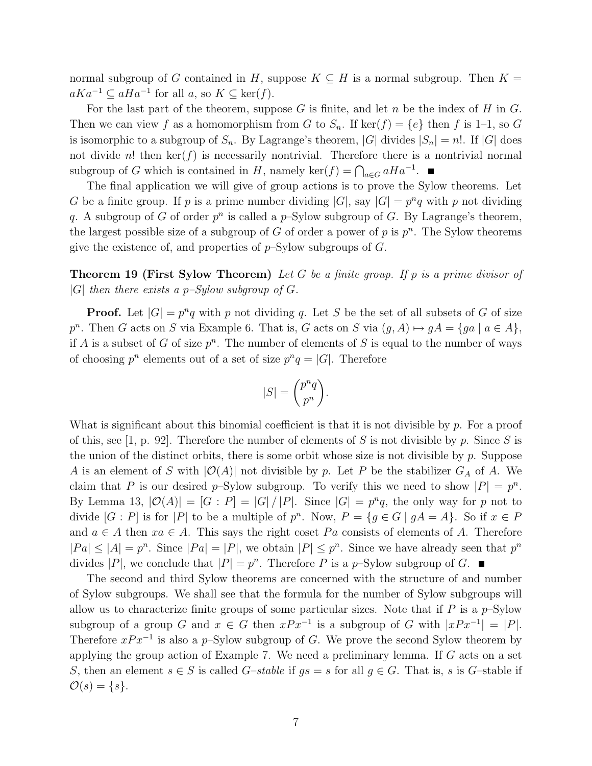normal subgroup of G contained in H, suppose  $K \subseteq H$  is a normal subgroup. Then  $K =$  $aKa^{-1} \subseteq aHa^{-1}$  for all  $a$ , so  $K \subseteq \text{ker}(f)$ .

For the last part of the theorem, suppose  $G$  is finite, and let  $n$  be the index of  $H$  in  $G$ . Then we can view f as a homomorphism from G to  $S_n$ . If ker $(f) = \{e\}$  then f is 1-1, so G is isomorphic to a subgroup of  $S_n$ . By Lagrange's theorem, |G| divides  $|S_n| = n!$ . If |G| does not divide n! then  $\ker(f)$  is necessarily nontrivial. Therefore there is a nontrivial normal subgroup of G which is contained in H, namely ker(f) =  $\bigcap_{a \in G} aHa^{-1}$ .

The final application we will give of group actions is to prove the Sylow theorems. Let G be a finite group. If p is a prime number dividing  $|G|$ , say  $|G| = p^n q$  with p not dividing q. A subgroup of G of order  $p^n$  is called a  $p$ -Sylow subgroup of G. By Lagrange's theorem, the largest possible size of a subgroup of G of order a power of p is  $p^n$ . The Sylow theorems give the existence of, and properties of  $p$ –Sylow subgroups of G.

**Theorem 19 (First Sylow Theorem)** Let G be a finite group. If p is a prime divisor of |G| then there exists a p–Sylow subgroup of  $G$ .

**Proof.** Let  $|G| = p^n q$  with p not dividing q. Let S be the set of all subsets of G of size  $p^{n}$ . Then G acts on S via Example 6. That is, G acts on S via  $(g, A) \mapsto gA = \{ga \mid a \in A\},\$ if A is a subset of G of size  $p^n$ . The number of elements of S is equal to the number of ways of choosing  $p^n$  elements out of a set of size  $p^nq = |G|$ . Therefore

$$
|S| = \binom{p^n q}{p^n}.
$$

What is significant about this binomial coefficient is that it is not divisible by  $p$ . For a proof of this, see [1, p. 92]. Therefore the number of elements of S is not divisible by p. Since S is the union of the distinct orbits, there is some orbit whose size is not divisible by  $p$ . Suppose A is an element of S with  $|O(A)|$  not divisible by p. Let P be the stabilizer  $G_A$  of A. We claim that P is our desired p-Sylow subgroup. To verify this we need to show  $|P| = p^n$ . By Lemma 13,  $|\mathcal{O}(A)| = |G : P| = |G|/|P|$ . Since  $|G| = p^n q$ , the only way for p not to divide  $[G : P]$  is for  $|P|$  to be a multiple of  $p^n$ . Now,  $P = \{g \in G \mid gA = A\}$ . So if  $x \in P$ and  $a \in A$  then  $xa \in A$ . This says the right coset Pa consists of elements of A. Therefore  $|Pa| \leq |A| = p^n$ . Since  $|Pa| = |P|$ , we obtain  $|P| \leq p^n$ . Since we have already seen that  $p^n$ divides |P|, we conclude that  $|P| = p^n$ . Therefore P is a p-Sylow subgroup of G.

The second and third Sylow theorems are concerned with the structure of and number of Sylow subgroups. We shall see that the formula for the number of Sylow subgroups will allow us to characterize finite groups of some particular sizes. Note that if  $P$  is a  $p$ -Sylow subgroup of a group G and  $x \in G$  then  $xPx^{-1}$  is a subgroup of G with  $|xPx^{-1}| = |P|$ . Therefore  $xPx^{-1}$  is also a p–Sylow subgroup of G. We prove the second Sylow theorem by applying the group action of Example 7. We need a preliminary lemma. If G acts on a set S, then an element  $s \in S$  is called  $G$ -stable if  $gs = s$  for all  $g \in G$ . That is, s is  $G$ -stable if  $\mathcal{O}(s) = \{s\}.$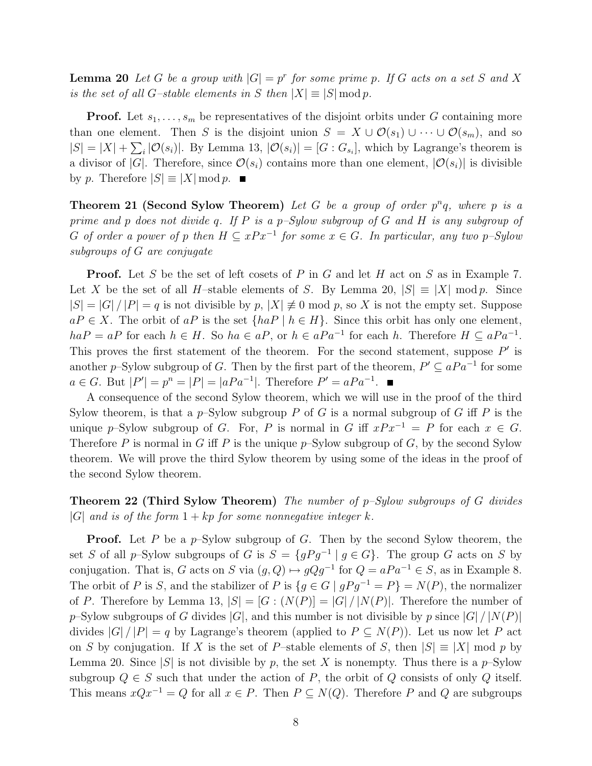**Lemma 20** Let G be a group with  $|G| = p^r$  for some prime p. If G acts on a set S and X is the set of all G–stable elements in S then  $|X| \equiv |S| \bmod p$ .

**Proof.** Let  $s_1, \ldots, s_m$  be representatives of the disjoint orbits under G containing more than one element. Then S is the disjoint union  $S = X \cup \mathcal{O}(s_1) \cup \cdots \cup \mathcal{O}(s_m)$ , and so  $|S| = |X| + \sum_i |\mathcal{O}(s_i)|$ . By Lemma 13,  $|\mathcal{O}(s_i)| = [G : G_{s_i}]$ , which by Lagrange's theorem is a divisor of  $|G|$ . Therefore, since  $\mathcal{O}(s_i)$  contains more than one element,  $|\mathcal{O}(s_i)|$  is divisible by p. Therefore  $|S| \equiv |X| \bmod p$ .

**Theorem 21 (Second Sylow Theorem)** Let G be a group of order  $p^n q$ , where p is a prime and p does not divide q. If P is a p-Sylow subgroup of G and H is any subgroup of G of order a power of p then  $H \subseteq xPx^{-1}$  for some  $x \in G$ . In particular, any two p-Sylow subgroups of G are conjugate

**Proof.** Let S be the set of left cosets of P in G and let H act on S as in Example 7. Let X be the set of all H–stable elements of S. By Lemma 20,  $|S| \equiv |X| \mod p$ . Since  $|S| = |G| / |P| = q$  is not divisible by p,  $|X| \neq 0$  mod p, so X is not the empty set. Suppose  $aP \in X$ . The orbit of  $aP$  is the set  $\{haP \mid h \in H\}$ . Since this orbit has only one element,  $haP = aP$  for each  $h \in H$ . So  $ha \in aP$ , or  $h \in aPa^{-1}$  for each h. Therefore  $H \subseteq aPa^{-1}$ . This proves the first statement of the theorem. For the second statement, suppose  $P'$  is another p–Sylow subgroup of G. Then by the first part of the theorem,  $P' \subseteq aPa^{-1}$  for some  $a \in G$ . But  $|P'| = p^n = |P| = |aPa^{-1}|$ . Therefore  $P' = aPa^{-1}$ .

A consequence of the second Sylow theorem, which we will use in the proof of the third Sylow theorem, is that a p-Sylow subgroup P of G is a normal subgroup of G iff P is the unique p–Sylow subgroup of G. For, P is normal in G iff  $xPx^{-1} = P$  for each  $x \in G$ . Therefore P is normal in G iff P is the unique  $p$ -Sylow subgroup of G, by the second Sylow theorem. We will prove the third Sylow theorem by using some of the ideas in the proof of the second Sylow theorem.

## **Theorem 22 (Third Sylow Theorem)** The number of  $p-Sylow$  subgroups of G divides |G| and is of the form  $1 + kp$  for some nonnegative integer k.

**Proof.** Let P be a  $p$ -Sylow subgroup of G. Then by the second Sylow theorem, the set S of all p–Sylow subgroups of G is  $S = \{gPg^{-1} | g \in G\}$ . The group G acts on S by conjugation. That is, G acts on S via  $(g, Q) \mapsto gQg^{-1}$  for  $Q = aPa^{-1} \in S$ , as in Example 8. The orbit of P is S, and the stabilizer of P is  $\{q \in G \mid qPq^{-1} = P\} = N(P)$ , the normalizer of P. Therefore by Lemma 13,  $|S| = |G : (N(P))| = |G| / |N(P)|$ . Therefore the number of p–Sylow subgroups of G divides  $|G|$ , and this number is not divisible by p since  $|G| / |N(P)|$ divides  $|G|/|P| = q$  by Lagrange's theorem (applied to  $P \subseteq N(P)$ ). Let us now let P act on S by conjugation. If X is the set of P–stable elements of S, then  $|S| \equiv |X| \mod p$  by Lemma 20. Since |S| is not divisible by p, the set X is nonempty. Thus there is a p–Sylow subgroup  $Q \in S$  such that under the action of P, the orbit of Q consists of only Q itself. This means  $xQx^{-1} = Q$  for all  $x \in P$ . Then  $P \subseteq N(Q)$ . Therefore P and Q are subgroups